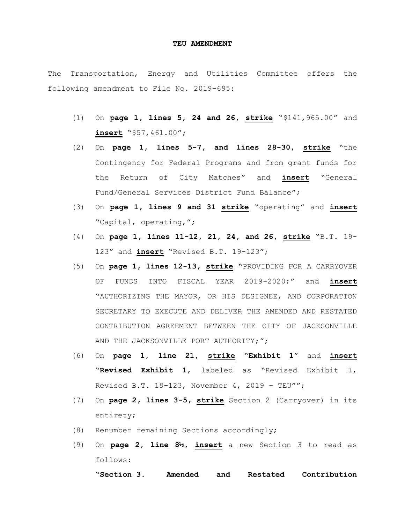## **TEU AMENDMENT**

The Transportation, Energy and Utilities Committee offers the following amendment to File No. 2019-695:

- (1) On **page 1, lines 5, 24 and 26, strike** "\$141,965.00" and **insert** "\$57,461.00";
- (2) On **page 1, lines 5-7, and lines 28-30, strike** "the Contingency for Federal Programs and from grant funds for the Return of City Matches" and **insert** "General Fund/General Services District Fund Balance";
- (3) On **page 1, lines 9 and 31 strike** "operating" and **insert** "Capital, operating,";
- (4) On **page 1, lines 11-12, 21, 24, and 26, strike** "B.T. 19- 123" and **insert** "Revised B.T. 19-123";
- (5) On **page 1, lines 12-13, strike "**PROVIDING FOR A CARRYOVER OF FUNDS INTO FISCAL YEAR 2019-2020;" and **insert** "AUTHORIZING THE MAYOR, OR HIS DESIGNEE, AND CORPORATION SECRETARY TO EXECUTE AND DELIVER THE AMENDED AND RESTATED CONTRIBUTION AGREEMENT BETWEEN THE CITY OF JACKSONVILLE AND THE JACKSONVILLE PORT AUTHORITY;";
- (6) On **page 1, line 21, strike** "**Exhibit 1**" and **insert** "**Revised Exhibit 1**, labeled as "Revised Exhibit 1, Revised B.T. 19-123, November 4, 2019 – TEU"";
- (7) On **page 2, lines 3-5, strike** Section 2 (Carryover) in its entirety;
- (8) Renumber remaining Sections accordingly;
- (9) On **page 2, line 8½, insert** a new Section 3 to read as follows:

**"Section 3. Amended and Restated Contribution**